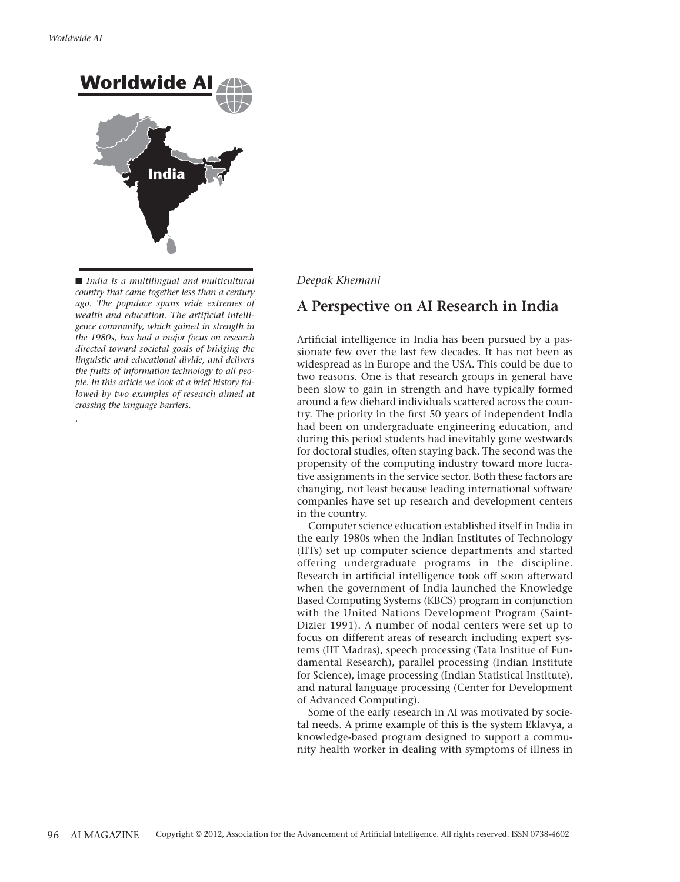*.* 



■ *India is a multilingual and multicultural country that came together less than a century ago. The populace spans wide extremes of wealth and education. The artificial intelligence community, which gained in strength in the 1980s, has had a major focus on research directed toward societal goals of bridging the linguistic and educational divide, and delivers the fruits of information technology to all people. In this article we look at a brief history followed by two examples of research aimed at crossing the language barriers.* 

#### *Deepak Khemani*

## **A Perspective on AI Research in India**

Artificial intelligence in India has been pursued by a passionate few over the last few decades. It has not been as widespread as in Europe and the USA. This could be due to two reasons. One is that research groups in general have been slow to gain in strength and have typically formed around a few diehard individuals scattered across the country. The priority in the first 50 years of independent India had been on undergraduate engineering education, and during this period students had inevitably gone westwards for doctoral studies, often staying back. The second was the propensity of the computing industry toward more lucrative assignments in the service sector. Both these factors are changing, not least because leading international software companies have set up research and development centers in the country.

Computer science education established itself in India in the early 1980s when the Indian Institutes of Technology (IITs) set up computer science departments and started offering undergraduate programs in the discipline. Research in artificial intelligence took off soon afterward when the government of India launched the Knowledge Based Computing Systems (KBCS) program in conjunction with the United Nations Development Program (Saint-Dizier 1991). A number of nodal centers were set up to focus on different areas of research including expert systems (IIT Madras), speech processing (Tata Institue of Fundamental Research), parallel processing (Indian Institute for Science), image processing (Indian Statistical Institute), and natural language processing (Center for Development of Advanced Computing).

Some of the early research in AI was motivated by societal needs. A prime example of this is the system Eklavya, a knowledge-based program designed to support a community health worker in dealing with symptoms of illness in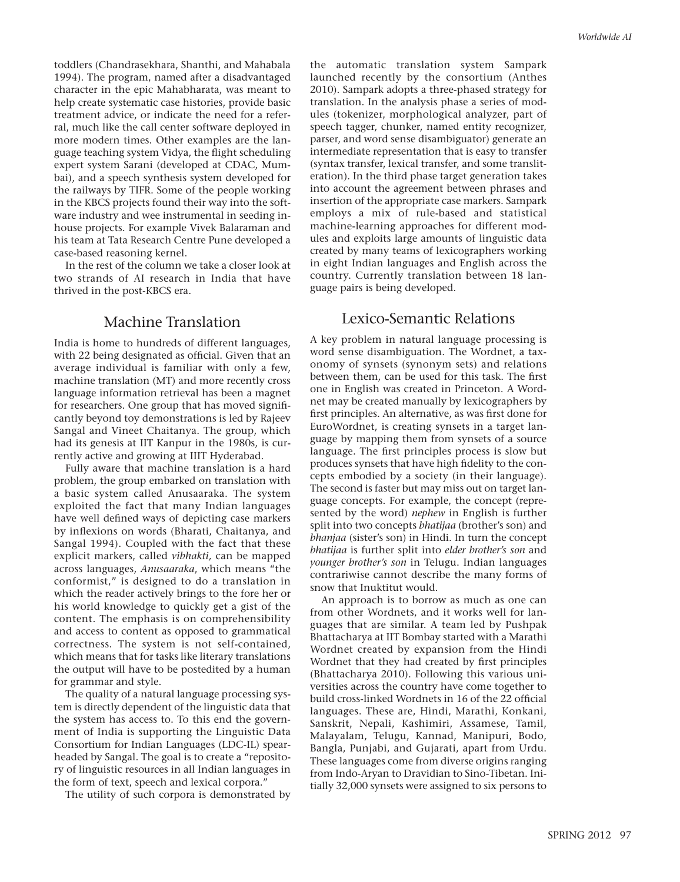toddlers (Chandrasekhara, Shanthi, and Mahabala 1994). The program, named after a disadvantaged character in the epic Mahabharata, was meant to help create systematic case histories, provide basic treatment advice, or indicate the need for a referral, much like the call center software deployed in more modern times. Other examples are the language teaching system Vidya, the flight scheduling expert system Sarani (developed at CDAC, Mumbai), and a speech synthesis system developed for the railways by TIFR. Some of the people working in the KBCS projects found their way into the software industry and wee instrumental in seeding inhouse projects. For example Vivek Balaraman and his team at Tata Research Centre Pune developed a case-based reasoning kernel.

In the rest of the column we take a closer look at two strands of AI research in India that have thrived in the post-KBCS era.

#### Machine Translation

India is home to hundreds of different languages, with 22 being designated as official. Given that an average individual is familiar with only a few, machine translation (MT) and more recently cross language information retrieval has been a magnet for researchers. One group that has moved significantly beyond toy demonstrations is led by Rajeev Sangal and Vineet Chaitanya. The group, which had its genesis at IIT Kanpur in the 1980s, is currently active and growing at IIIT Hyderabad.

Fully aware that machine translation is a hard problem, the group embarked on translation with a basic system called Anusaaraka. The system exploited the fact that many Indian languages have well defined ways of depicting case markers by inflexions on words (Bharati, Chaitanya, and Sangal 1994). Coupled with the fact that these explicit markers, called *vibhakti,* can be mapped across languages, *Anusaaraka*, which means "the conformist," is designed to do a translation in which the reader actively brings to the fore her or his world knowledge to quickly get a gist of the content. The emphasis is on comprehensibility and access to content as opposed to grammatical correctness. The system is not self-contained, which means that for tasks like literary translations the output will have to be postedited by a human for grammar and style.

The quality of a natural language processing system is directly dependent of the linguistic data that the system has access to. To this end the government of India is supporting the Linguistic Data Consortium for Indian Languages (LDC-IL) spearheaded by Sangal. The goal is to create a "repository of linguistic resources in all Indian languages in the form of text, speech and lexical corpora."

The utility of such corpora is demonstrated by

the automatic translation system Sampark launched recently by the consortium (Anthes 2010). Sampark adopts a three-phased strategy for translation. In the analysis phase a series of modules (tokenizer, morphological analyzer, part of speech tagger, chunker, named entity recognizer, parser, and word sense disambiguator) generate an intermediate representation that is easy to transfer (syntax transfer, lexical transfer, and some transliteration). In the third phase target generation takes into account the agreement between phrases and insertion of the appropriate case markers. Sampark employs a mix of rule-based and statistical machine-learning approaches for different modules and exploits large amounts of linguistic data created by many teams of lexicographers working in eight Indian languages and English across the country. Currently translation between 18 language pairs is being developed.

## Lexico-Semantic Relations

A key problem in natural language processing is word sense disambiguation. The Wordnet, a taxonomy of synsets (synonym sets) and relations between them, can be used for this task. The first one in English was created in Princeton. A Wordnet may be created manually by lexicographers by first principles. An alternative, as was first done for EuroWordnet, is creating synsets in a target language by mapping them from synsets of a source language. The first principles process is slow but produces synsets that have high fidelity to the concepts embodied by a society (in their language). The second is faster but may miss out on target language concepts. For example, the concept (represented by the word) *nephew* in English is further split into two concepts *bhatijaa* (brother's son) and *bhanjaa* (sister's son) in Hindi. In turn the concept *bhatijaa* is further split into *elder brother's son* and *younger brother's son* in Telugu. Indian languages contrariwise cannot describe the many forms of snow that Inuktitut would.

An approach is to borrow as much as one can from other Wordnets, and it works well for languages that are similar. A team led by Pushpak Bhattacharya at IIT Bombay started with a Marathi Wordnet created by expansion from the Hindi Wordnet that they had created by first principles (Bhattacharya 2010). Following this various universities across the country have come together to build cross-linked Wordnets in 16 of the 22 official languages. These are, Hindi, Marathi, Konkani, Sanskrit, Nepali, Kashimiri, Assamese, Tamil, Malayalam, Telugu, Kannad, Manipuri, Bodo, Bangla, Punjabi, and Gujarati, apart from Urdu. These languages come from diverse origins ranging from Indo-Aryan to Dravidian to Sino-Tibetan. Initially 32,000 synsets were assigned to six persons to